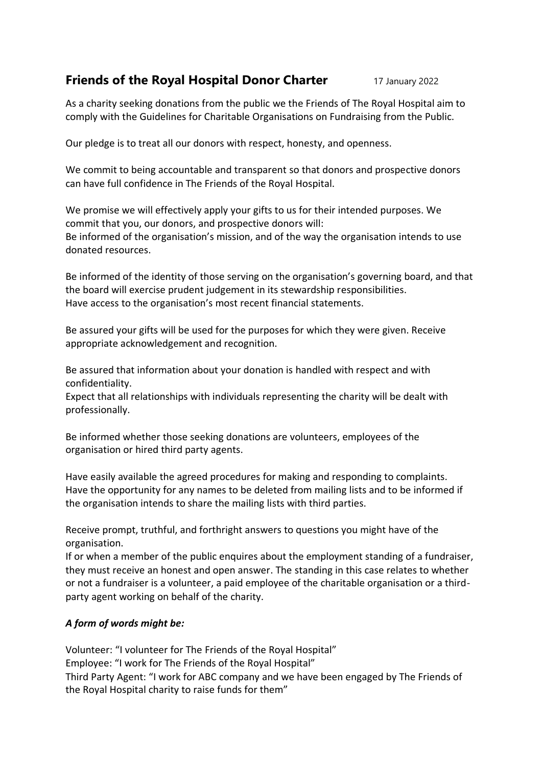## **Friends of the Royal Hospital Donor Charter** 17 January 2022

As a charity seeking donations from the public we the Friends of The Royal Hospital aim to comply with the Guidelines for Charitable Organisations on Fundraising from the Public.

Our pledge is to treat all our donors with respect, honesty, and openness.

We commit to being accountable and transparent so that donors and prospective donors can have full confidence in The Friends of the Royal Hospital.

We promise we will effectively apply your gifts to us for their intended purposes. We commit that you, our donors, and prospective donors will: Be informed of the organisation's mission, and of the way the organisation intends to use donated resources.

Be informed of the identity of those serving on the organisation's governing board, and that the board will exercise prudent judgement in its stewardship responsibilities. Have access to the organisation's most recent financial statements.

Be assured your gifts will be used for the purposes for which they were given. Receive appropriate acknowledgement and recognition.

Be assured that information about your donation is handled with respect and with confidentiality.

Expect that all relationships with individuals representing the charity will be dealt with professionally.

Be informed whether those seeking donations are volunteers, employees of the organisation or hired third party agents.

Have easily available the agreed procedures for making and responding to complaints. Have the opportunity for any names to be deleted from mailing lists and to be informed if the organisation intends to share the mailing lists with third parties.

Receive prompt, truthful, and forthright answers to questions you might have of the organisation.

If or when a member of the public enquires about the employment standing of a fundraiser, they must receive an honest and open answer. The standing in this case relates to whether or not a fundraiser is a volunteer, a paid employee of the charitable organisation or a thirdparty agent working on behalf of the charity.

## *A form of words might be:*

Volunteer: "I volunteer for The Friends of the Royal Hospital" Employee: "I work for The Friends of the Royal Hospital" Third Party Agent: "I work for ABC company and we have been engaged by The Friends of the Royal Hospital charity to raise funds for them"